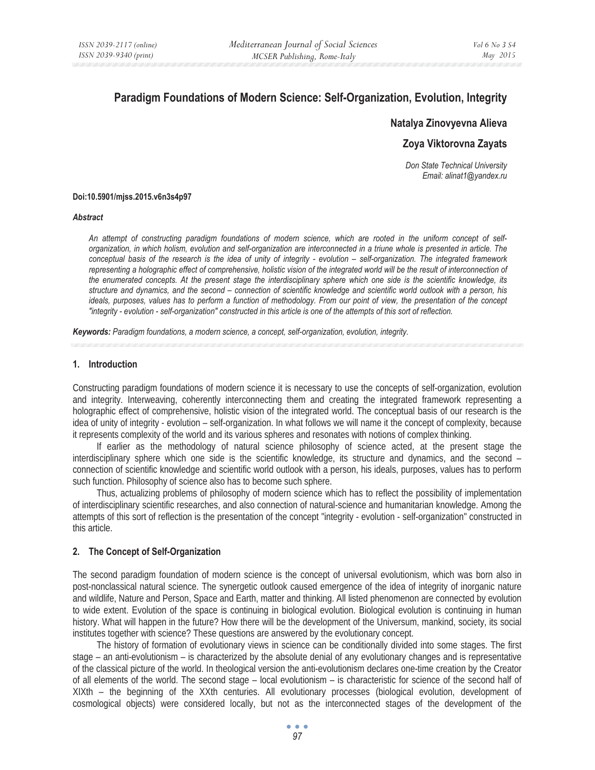# **Paradigm Foundations of Modern Science: Self-Organization, Evolution, Integrity**

## **Natalya Zinovyevna Alieva**

# **Zoya Viktorovna Zayats**

*Don State Technical University Email: alinat1@yandex.ru* 

#### **Doi:10.5901/mjss.2015.v6n3s4p97**

#### *Abstract*

*An attempt of constructing paradigm foundations of modern science, which are rooted in the uniform concept of selforganization, in which holism, evolution and self-organization are interconnected in a triune whole is presented in article. The conceptual basis of the research is the idea of unity of integrity - evolution – self-organization. The integrated framework representing a holographic effect of comprehensive, holistic vision of the integrated world will be the result of interconnection of the enumerated concepts. At the present stage the interdisciplinary sphere which one side is the scientific knowledge, its structure and dynamics, and the second – connection of scientific knowledge and scientific world outlook with a person, his ideals, purposes, values has to perform a function of methodology. From our point of view, the presentation of the concept "integrity - evolution - self-organization" constructed in this article is one of the attempts of this sort of reflection.* 

*Keywords: Paradigm foundations, a modern science, a concept, self-organization, evolution, integrity.*

### **1. Introduction**

Constructing paradigm foundations of modern science it is necessary to use the concepts of self-organization, evolution and integrity. Interweaving, coherently interconnecting them and creating the integrated framework representing a holographic effect of comprehensive, holistic vision of the integrated world. The conceptual basis of our research is the idea of unity of integrity - evolution – self-organization. In what follows we will name it the concept of complexity, because it represents complexity of the world and its various spheres and resonates with notions of complex thinking.

If earlier as the methodology of natural science philosophy of science acted, at the present stage the interdisciplinary sphere which one side is the scientific knowledge, its structure and dynamics, and the second – connection of scientific knowledge and scientific world outlook with a person, his ideals, purposes, values has to perform such function. Philosophy of science also has to become such sphere.

Thus, actualizing problems of philosophy of modern science which has to reflect the possibility of implementation of interdisciplinary scientific researches, and also connection of natural-science and humanitarian knowledge. Among the attempts of this sort of reflection is the presentation of the concept "integrity - evolution - self-organization" constructed in this article.

### **2. The Concept of Self-Organization**

The second paradigm foundation of modern science is the concept of universal evolutionism, which was born also in post-nonclassical natural science. The synergetic outlook caused emergence of the idea of integrity of inorganic nature and wildlife, Nature and Person, Space and Earth, matter and thinking. All listed phenomenon are connected by evolution to wide extent. Evolution of the space is continuing in biological evolution. Biological evolution is continuing in human history. What will happen in the future? How there will be the development of the Universum, mankind, society, its social institutes together with science? These questions are answered by the evolutionary concept.

The history of formation of evolutionary views in science can be conditionally divided into some stages. The first stage – an anti-evolutionism – is characterized by the absolute denial of any evolutionary changes and is representative of the classical picture of the world. In theological version the anti-evolutionism declares one-time creation by the Creator of all elements of the world. The second stage – local evolutionism – is characteristic for science of the second half of XIXth – the beginning of the XXth centuries. All evolutionary processes (biological evolution, development of cosmological objects) were considered locally, but not as the interconnected stages of the development of the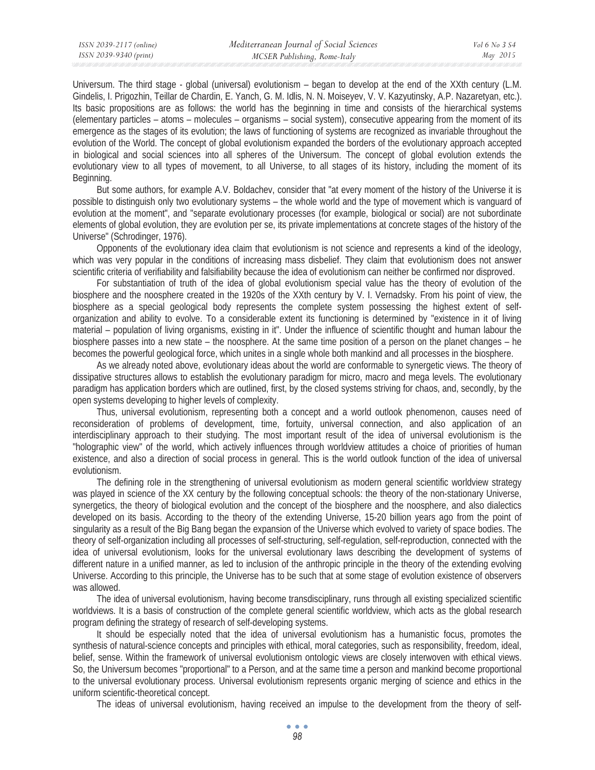Universum. The third stage - global (universal) evolutionism – began to develop at the end of the XXth century (L.M. Gindelis, I. Prigozhin, Teillar de Chardin, E. Yanch, G. M. Idlis, N. N. Moiseyev, V. V. Kazyutinsky, A.P. Nazaretyan, etc.). Its basic propositions are as follows: the world has the beginning in time and consists of the hierarchical systems (elementary particles – atoms – molecules – organisms – social system), consecutive appearing from the moment of its emergence as the stages of its evolution; the laws of functioning of systems are recognized as invariable throughout the evolution of the World. The concept of global evolutionism expanded the borders of the evolutionary approach accepted in biological and social sciences into all spheres of the Universum. The concept of global evolution extends the evolutionary view to all types of movement, to all Universe, to all stages of its history, including the moment of its Beginning.

But some authors, for example A.V. Boldachev, consider that "at every moment of the history of the Universe it is possible to distinguish only two evolutionary systems – the whole world and the type of movement which is vanguard of evolution at the moment", and "separate evolutionary processes (for example, biological or social) are not subordinate elements of global evolution, they are evolution per se, its private implementations at concrete stages of the history of the Universe" (Schrodinger, 1976).

Opponents of the evolutionary idea claim that evolutionism is not science and represents a kind of the ideology, which was very popular in the conditions of increasing mass disbelief. They claim that evolutionism does not answer scientific criteria of verifiability and falsifiability because the idea of evolutionism can neither be confirmed nor disproved.

For substantiation of truth of the idea of global evolutionism special value has the theory of evolution of the biosphere and the noosphere created in the 1920s of the XXth century by V. I. Vernadsky. From his point of view, the biosphere as a special geological body represents the complete system possessing the highest extent of selforganization and ability to evolve. To a considerable extent its functioning is determined by "existence in it of living material – population of living organisms, existing in it". Under the influence of scientific thought and human labour the biosphere passes into a new state – the noosphere. At the same time position of a person on the planet changes – he becomes the powerful geological force, which unites in a single whole both mankind and all processes in the biosphere.

As we already noted above, evolutionary ideas about the world are conformable to synergetic views. The theory of dissipative structures allows to establish the evolutionary paradigm for micro, macro and mega levels. The evolutionary paradigm has application borders which are outlined, first, by the closed systems striving for chaos, and, secondly, by the open systems developing to higher levels of complexity.

Thus, universal evolutionism, representing both a concept and a world outlook phenomenon, causes need of reconsideration of problems of development, time, fortuity, universal connection, and also application of an interdisciplinary approach to their studying. The most important result of the idea of universal evolutionism is the "holographic view" of the world, which actively influences through worldview attitudes a choice of priorities of human existence, and also a direction of social process in general. This is the world outlook function of the idea of universal evolutionism.

The defining role in the strengthening of universal evolutionism as modern general scientific worldview strategy was played in science of the XX century by the following conceptual schools: the theory of the non-stationary Universe, synergetics, the theory of biological evolution and the concept of the biosphere and the noosphere, and also dialectics developed on its basis. According to the theory of the extending Universe, 15-20 billion years ago from the point of singularity as a result of the Big Bang began the expansion of the Universe which evolved to variety of space bodies. The theory of self-organization including all processes of self-structuring, self-regulation, self-reproduction, connected with the idea of universal evolutionism, looks for the universal evolutionary laws describing the development of systems of different nature in a unified manner, as led to inclusion of the anthropic principle in the theory of the extending evolving Universe. According to this principle, the Universe has to be such that at some stage of evolution existence of observers was allowed.

The idea of universal evolutionism, having become transdisciplinary, runs through all existing specialized scientific worldviews. It is a basis of construction of the complete general scientific worldview, which acts as the global research program defining the strategy of research of self-developing systems.

It should be especially noted that the idea of universal evolutionism has a humanistic focus, promotes the synthesis of natural-science concepts and principles with ethical, moral categories, such as responsibility, freedom, ideal, belief, sense. Within the framework of universal evolutionism ontologic views are closely interwoven with ethical views. So, the Universum becomes "proportional" to a Person, and at the same time a person and mankind become proportional to the universal evolutionary process. Universal evolutionism represents organic merging of science and ethics in the uniform scientific-theoretical concept.

The ideas of universal evolutionism, having received an impulse to the development from the theory of self-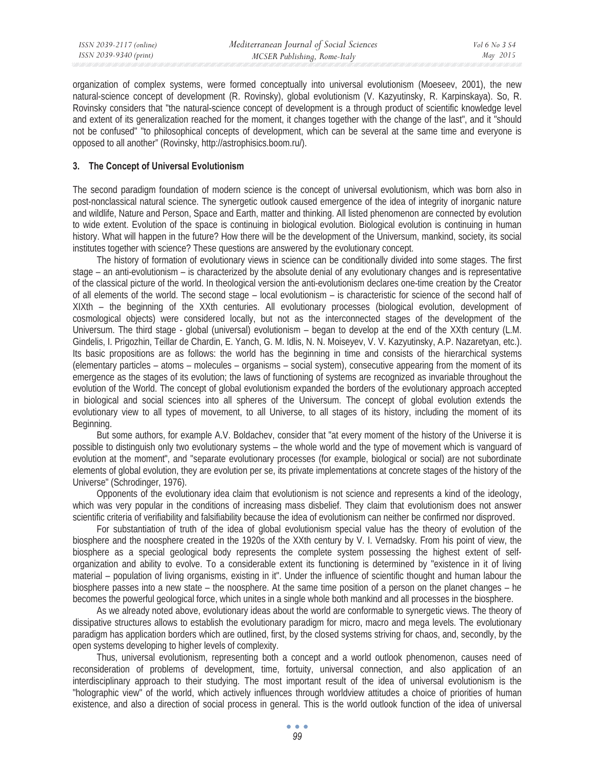organization of complex systems, were formed conceptually into universal evolutionism (Moeseev, 2001), the new natural-science concept of development (R. Rovinsky), global evolutionism (V. Kazyutinsky, R. Karpinskaya). So, R. Rovinsky considers that "the natural-science concept of development is a through product of scientific knowledge level and extent of its generalization reached for the moment, it changes together with the change of the last", and it "should not be confused" "to philosophical concepts of development, which can be several at the same time and everyone is opposed to all another" (Rovinsky, http://astrophisics.boom.ru/).

## **3. The Concept of Universal Evolutionism**

The second paradigm foundation of modern science is the concept of universal evolutionism, which was born also in post-nonclassical natural science. The synergetic outlook caused emergence of the idea of integrity of inorganic nature and wildlife, Nature and Person, Space and Earth, matter and thinking. All listed phenomenon are connected by evolution to wide extent. Evolution of the space is continuing in biological evolution. Biological evolution is continuing in human history. What will happen in the future? How there will be the development of the Universum, mankind, society, its social institutes together with science? These questions are answered by the evolutionary concept.

The history of formation of evolutionary views in science can be conditionally divided into some stages. The first stage – an anti-evolutionism – is characterized by the absolute denial of any evolutionary changes and is representative of the classical picture of the world. In theological version the anti-evolutionism declares one-time creation by the Creator of all elements of the world. The second stage – local evolutionism – is characteristic for science of the second half of XIXth – the beginning of the XXth centuries. All evolutionary processes (biological evolution, development of cosmological objects) were considered locally, but not as the interconnected stages of the development of the Universum. The third stage - global (universal) evolutionism – began to develop at the end of the XXth century (L.M. Gindelis, I. Prigozhin, Teillar de Chardin, E. Yanch, G. M. Idlis, N. N. Moiseyev, V. V. Kazyutinsky, A.P. Nazaretyan, etc.). Its basic propositions are as follows: the world has the beginning in time and consists of the hierarchical systems (elementary particles – atoms – molecules – organisms – social system), consecutive appearing from the moment of its emergence as the stages of its evolution; the laws of functioning of systems are recognized as invariable throughout the evolution of the World. The concept of global evolutionism expanded the borders of the evolutionary approach accepted in biological and social sciences into all spheres of the Universum. The concept of global evolution extends the evolutionary view to all types of movement, to all Universe, to all stages of its history, including the moment of its Beginning.

But some authors, for example A.V. Boldachev, consider that "at every moment of the history of the Universe it is possible to distinguish only two evolutionary systems – the whole world and the type of movement which is vanguard of evolution at the moment", and "separate evolutionary processes (for example, biological or social) are not subordinate elements of global evolution, they are evolution per se, its private implementations at concrete stages of the history of the Universe" (Schrodinger, 1976).

Opponents of the evolutionary idea claim that evolutionism is not science and represents a kind of the ideology, which was very popular in the conditions of increasing mass disbelief. They claim that evolutionism does not answer scientific criteria of verifiability and falsifiability because the idea of evolutionism can neither be confirmed nor disproved.

For substantiation of truth of the idea of global evolutionism special value has the theory of evolution of the biosphere and the noosphere created in the 1920s of the XXth century by V. I. Vernadsky. From his point of view, the biosphere as a special geological body represents the complete system possessing the highest extent of selforganization and ability to evolve. To a considerable extent its functioning is determined by "existence in it of living material – population of living organisms, existing in it". Under the influence of scientific thought and human labour the biosphere passes into a new state – the noosphere. At the same time position of a person on the planet changes – he becomes the powerful geological force, which unites in a single whole both mankind and all processes in the biosphere.

As we already noted above, evolutionary ideas about the world are conformable to synergetic views. The theory of dissipative structures allows to establish the evolutionary paradigm for micro, macro and mega levels. The evolutionary paradigm has application borders which are outlined, first, by the closed systems striving for chaos, and, secondly, by the open systems developing to higher levels of complexity.

Thus, universal evolutionism, representing both a concept and a world outlook phenomenon, causes need of reconsideration of problems of development, time, fortuity, universal connection, and also application of an interdisciplinary approach to their studying. The most important result of the idea of universal evolutionism is the "holographic view" of the world, which actively influences through worldview attitudes a choice of priorities of human existence, and also a direction of social process in general. This is the world outlook function of the idea of universal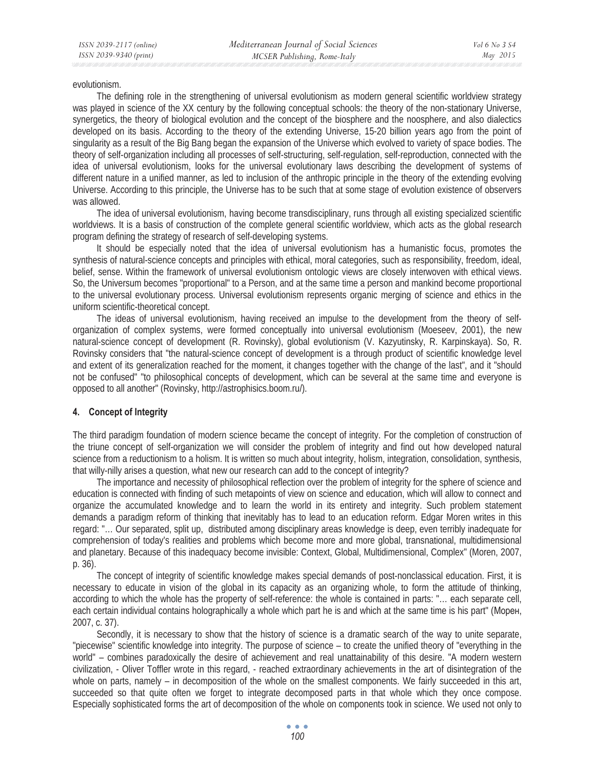evolutionism.

The defining role in the strengthening of universal evolutionism as modern general scientific worldview strategy was played in science of the XX century by the following conceptual schools: the theory of the non-stationary Universe, synergetics, the theory of biological evolution and the concept of the biosphere and the noosphere, and also dialectics developed on its basis. According to the theory of the extending Universe, 15-20 billion years ago from the point of singularity as a result of the Big Bang began the expansion of the Universe which evolved to variety of space bodies. The theory of self-organization including all processes of self-structuring, self-regulation, self-reproduction, connected with the idea of universal evolutionism, looks for the universal evolutionary laws describing the development of systems of different nature in a unified manner, as led to inclusion of the anthropic principle in the theory of the extending evolving Universe. According to this principle, the Universe has to be such that at some stage of evolution existence of observers was allowed.

The idea of universal evolutionism, having become transdisciplinary, runs through all existing specialized scientific worldviews. It is a basis of construction of the complete general scientific worldview, which acts as the global research program defining the strategy of research of self-developing systems.

It should be especially noted that the idea of universal evolutionism has a humanistic focus, promotes the synthesis of natural-science concepts and principles with ethical, moral categories, such as responsibility, freedom, ideal, belief, sense. Within the framework of universal evolutionism ontologic views are closely interwoven with ethical views. So, the Universum becomes "proportional" to a Person, and at the same time a person and mankind become proportional to the universal evolutionary process. Universal evolutionism represents organic merging of science and ethics in the uniform scientific-theoretical concept.

The ideas of universal evolutionism, having received an impulse to the development from the theory of selforganization of complex systems, were formed conceptually into universal evolutionism (Moeseev, 2001), the new natural-science concept of development (R. Rovinsky), global evolutionism (V. Kazyutinsky, R. Karpinskaya). So, R. Rovinsky considers that "the natural-science concept of development is a through product of scientific knowledge level and extent of its generalization reached for the moment, it changes together with the change of the last", and it "should not be confused" "to philosophical concepts of development, which can be several at the same time and everyone is opposed to all another" (Rovinsky, http://astrophisics.boom.ru/).

## **4. Concept of Integrity**

The third paradigm foundation of modern science became the concept of integrity. For the completion of construction of the triune concept of self-organization we will consider the problem of integrity and find out how developed natural science from a reductionism to a holism. It is written so much about integrity, holism, integration, consolidation, synthesis, that willy-nilly arises a question, what new our research can add to the concept of integrity?

The importance and necessity of philosophical reflection over the problem of integrity for the sphere of science and education is connected with finding of such metapoints of view on science and education, which will allow to connect and organize the accumulated knowledge and to learn the world in its entirety and integrity. Such problem statement demands a paradigm reform of thinking that inevitably has to lead to an education reform. Edgar Moren writes in this regard: "… Our separated, split up, distributed among disciplinary areas knowledge is deep, even terribly inadequate for comprehension of today's realities and problems which become more and more global, transnational, multidimensional and planetary. Because of this inadequacy become invisible: Context, Global, Multidimensional, Complex" (Moren, 2007, p. 36).

The concept of integrity of scientific knowledge makes special demands of post-nonclassical education. First, it is necessary to educate in vision of the global in its capacity as an organizing whole, to form the attitude of thinking, according to which the whole has the property of self-reference: the whole is contained in parts: "… each separate cell, each certain individual contains holographically a whole which part he is and which at the same time is his part" (Морен, 2007, c. 37).

Secondly, it is necessary to show that the history of science is a dramatic search of the way to unite separate, "piecewise" scientific knowledge into integrity. The purpose of science – to create the unified theory of "everything in the world" – combines paradoxically the desire of achievement and real unattainability of this desire. "A modern western civilization, - Oliver Toffler wrote in this regard, - reached extraordinary achievements in the art of disintegration of the whole on parts, namely – in decomposition of the whole on the smallest components. We fairly succeeded in this art, succeeded so that quite often we forget to integrate decomposed parts in that whole which they once compose. Especially sophisticated forms the art of decomposition of the whole on components took in science. We used not only to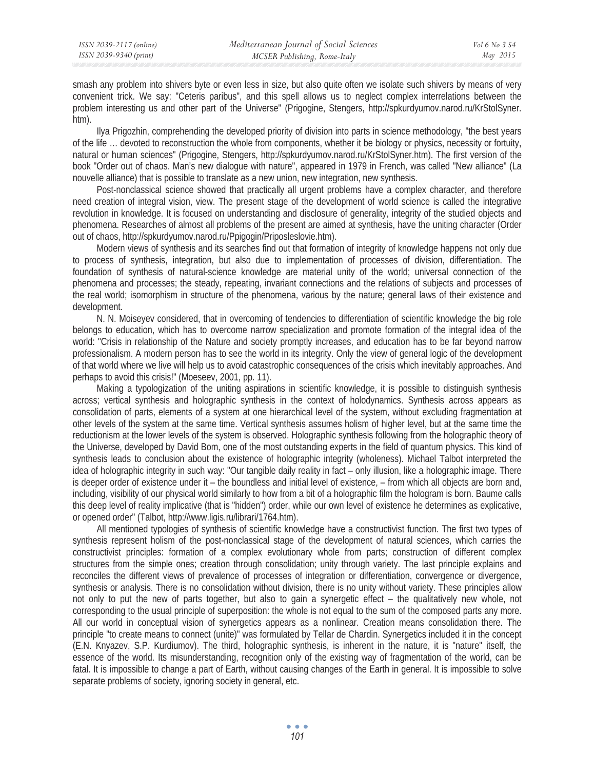smash any problem into shivers byte or even less in size, but also quite often we isolate such shivers by means of very convenient trick. We say: "Ceteris paribus", and this spell allows us to neglect complex interrelations between the problem interesting us and other part of the Universe" (Prigogine, Stengers, http://spkurdyumov.narod.ru/KrStolSyner. htm).

Ilya Prigozhin, comprehending the developed priority of division into parts in science methodology, "the best years of the life … devoted to reconstruction the whole from components, whether it be biology or physics, necessity or fortuity, natural or human sciences" (Prigogine, Stengers, http://spkurdyumov.narod.ru/KrStolSyner.htm). The first version of the book "Order out of chaos. Man's new dialogue with nature", appeared in 1979 in French, was called "New alliance" (La nouvelle alliance) that is possible to translate as a new union, new integration, new synthesis.

Post-nonclassical science showed that practically all urgent problems have a complex character, and therefore need creation of integral vision, view. The present stage of the development of world science is called the integrative revolution in knowledge. It is focused on understanding and disclosure of generality, integrity of the studied objects and phenomena. Researches of almost all problems of the present are aimed at synthesis, have the uniting character (Order out of chaos, http://spkurdyumov.narod.ru/Ppigogin/Priposleslovie.htm).

Modern views of synthesis and its searches find out that formation of integrity of knowledge happens not only due to process of synthesis, integration, but also due to implementation of processes of division, differentiation. The foundation of synthesis of natural-science knowledge are material unity of the world; universal connection of the phenomena and processes; the steady, repeating, invariant connections and the relations of subjects and processes of the real world; isomorphism in structure of the phenomena, various by the nature; general laws of their existence and development.

N. N. Moiseyev considered, that in overcoming of tendencies to differentiation of scientific knowledge the big role belongs to education, which has to overcome narrow specialization and promote formation of the integral idea of the world: "Crisis in relationship of the Nature and society promptly increases, and education has to be far beyond narrow professionalism. A modern person has to see the world in its integrity. Only the view of general logic of the development of that world where we live will help us to avoid catastrophic consequences of the crisis which inevitably approaches. And perhaps to avoid this crisis!" (Moeseev, 2001, pp. 11).

Making a typologization of the uniting aspirations in scientific knowledge, it is possible to distinguish synthesis across; vertical synthesis and holographic synthesis in the context of holodynamics. Synthesis across appears as consolidation of parts, elements of a system at one hierarchical level of the system, without excluding fragmentation at other levels of the system at the same time. Vertical synthesis assumes holism of higher level, but at the same time the reductionism at the lower levels of the system is observed. Holographic synthesis following from the holographic theory of the Universe, developed by David Bom, one of the most outstanding experts in the field of quantum physics. This kind of synthesis leads to conclusion about the existence of holographic integrity (wholeness). Michael Talbot interpreted the idea of holographic integrity in such way: "Our tangible daily reality in fact – only illusion, like a holographic image. There is deeper order of existence under it – the boundless and initial level of existence, – from which all objects are born and, including, visibility of our physical world similarly to how from a bit of a holographic film the hologram is born. Baume calls this deep level of reality implicative (that is "hidden") order, while our own level of existence he determines as explicative, or opened order" (Talbot, http://www.ligis.ru/librari/1764.htm).

All mentioned typologies of synthesis of scientific knowledge have a constructivist function. The first two types of synthesis represent holism of the post-nonclassical stage of the development of natural sciences, which carries the constructivist principles: formation of a complex evolutionary whole from parts; construction of different complex structures from the simple ones; creation through consolidation; unity through variety. The last principle explains and reconciles the different views of prevalence of processes of integration or differentiation, convergence or divergence, synthesis or analysis. There is no consolidation without division, there is no unity without variety. These principles allow not only to put the new of parts together, but also to gain a synergetic effect – the qualitatively new whole, not corresponding to the usual principle of superposition: the whole is not equal to the sum of the composed parts any more. All our world in conceptual vision of synergetics appears as a nonlinear. Creation means consolidation there. The principle "to create means to connect (unite)" was formulated by Tellar de Chardin. Synergetics included it in the concept (E.N. Knyazev, S.P. Kurdiumov). The third, holographic synthesis, is inherent in the nature, it is "nature" itself, the essence of the world. Its misunderstanding, recognition only of the existing way of fragmentation of the world, can be fatal. It is impossible to change a part of Earth, without causing changes of the Earth in general. It is impossible to solve separate problems of society, ignoring society in general, etc.